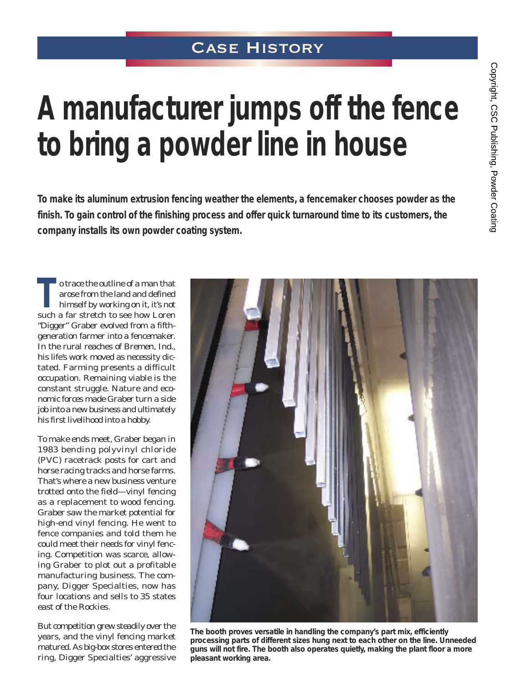## Case History

# **A manufacturer jumps off the fence to bring a powder line in house**

**To make its aluminum extrusion fencing weather the elements, a fencemaker chooses powder as the finish. To gain control of the finishing process and offer quick turnaround time to its customers, the company installs its own powder coating system.**

o trace the outline of a man that<br>arose from the land and defined<br>himself by working on it, it's not arose from the land and defined himself by working on it, it's not such a far stretch to see how Loren "Digger" Graber evolved from a fifthgeneration farmer into a fencemaker. In the rural reaches of Bremen, Ind., his life's work moved as necessity dictated. Farming presents a difficult occupation. Remaining viable is the constant struggle. Nature and economic forces made Graber turn a side job into a new business and ultimately his first livelihood into a hobby.

To make ends meet, Graber began in 1983 bending polyvinyl chloride (PVC) racetrack posts for cart and horse racing tracks and horse farms. That's where a new business venture trotted onto the field—vinyl fencing as a replacement to wood fencing. Graber saw the market potential for high-end vinyl fencing. He went to fence companies and told them he could meet their needs for vinyl fencing. Competition was scarce, allowing Graber to plot out a profitable manufacturing business. The company, Digger Specialties, now has four locations and sells to 35 states east of the Rockies.

But competition grew steadily over the years, and the vinyl fencing market matured. As big-box stores entered the ring, Digger Specialties' aggressive



*The booth proves versatile in handling the company's part mix, efficiently processing parts of different sizes hung next to each other on the line. Unneeded guns will not fire. The booth also operates quietly, making the plant floor a more pleasant working area.*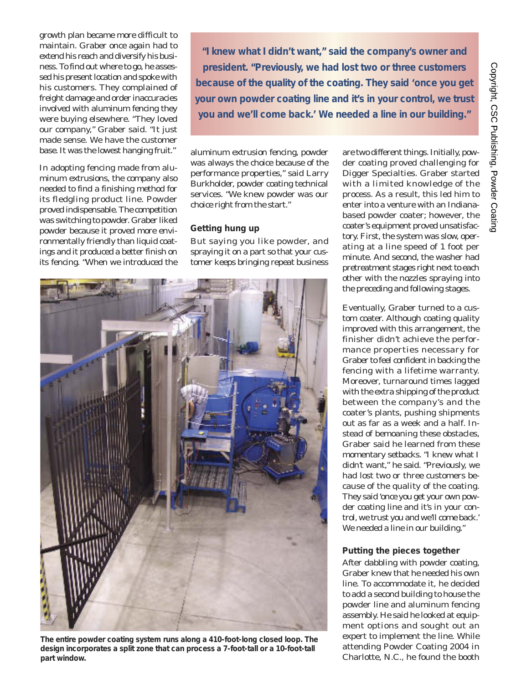C o p yright, C S C Publishing, P o w d er Coating

growth plan became more difficult to maintain. Graber once again had to extend his reach and diversify his business. To find out where to go, he assessed his present location and spoke with his customers. They complained of freight damage and order inaccuracies involved with aluminum fencing they were buying elsewhere. "They loved our company," Graber said. "It just made sense. We have the customer base. It was the lowest hanging fruit."

In adopting fencing made from aluminum extrusions, the company also needed to find a finishing method for its fledgling product line. Powder proved indispensable. The competition was switching to powder. Graber liked powder because it proved more environmentally friendly than liquid coatings and it produced a better finish on its fencing. "When we introduced the

*"I knew what I didn't want," said the company's owner and president. "Previously, we had lost two or three customers because of the quality of the coating. They said 'once you get your own powder coating line and it's in your control, we trust you and we'll come back.' We needed a line in our building."*

aluminum extrusion fencing, powder was always the choice because of the performance properties," said Larry Burkholder, powder coating technical services. "We knew powder was our choice right from the start."

#### **Getting hung up**

But saying you like powder, and spraying it on a part so that your customer keeps bringing repeat business



*The entire powder coating system runs along a 410-foot-long closed loop. The design incorporates a split zone that can process a 7-foot-tall or a 10-foot-tall part window.*

are two different things. Initially, powder coating proved challenging for Digger Specialties. Graber started with a limited knowledge of the process. As a result, this led him to enter into a venture with an Indianabased powder coater; however, the coater's equipment proved unsatisfactory. First, the system was slow, operating at a line speed of 1 foot per minute. And second, the washer had pretreatment stages right next to each other with the nozzles spraying into the preceding and following stages.

Eventually, Graber turned to a custom coater. Although coating quality improved with this arrangement, the finisher didn't achieve the performance properties necessary for Graber to feel confident in backing the fencing with a lifetime warranty. Moreover, turnaround times lagged with the extra shipping of the product between the company's and the coater's plants, pushing shipments out as far as a week and a half. Instead of bemoaning these obstacles, Graber said he learned from these momentary setbacks. "I knew what I didn't want," he said. "Previously, we had lost two or three customers because of the quality of the coating. They said 'once you get your own powder coating line and it's in your control, we trust you and we'll come back.' We needed a line in our building."

### **Putting the pieces together**

After dabbling with powder coating, Graber knew that he needed his own line. To accommodate it, he decided to add a second building to house the powder line and aluminum fencing assembly. He said he looked at equipment options and sought out an expert to implement the line. While attending Powder Coating 2004 in Charlotte, N.C., he found the booth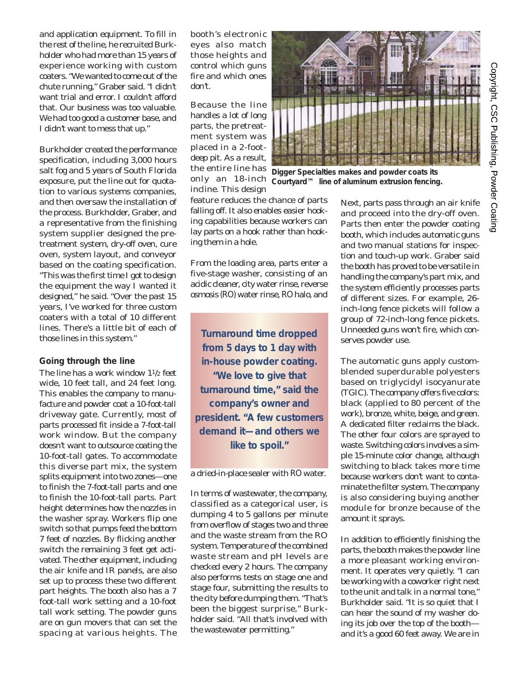and application equipment. To fill in the rest of the line, he recruited Burkholder who had more than 15 years of experience working with custom coaters. "We wanted to come out of the chute running," Graber said. "I didn't want trial and error. I couldn't afford that. Our business was too valuable. We had too good a customer base, and I didn't want to mess that up."

Burkholder created the performance specification, including 3,000 hours salt fog and 5 years of South Florida exposure, put the line out for quotation to various systems companies, and then oversaw the installation of the process. Burkholder, Graber, and a representative from the finishing system supplier designed the pretreatment system, dry-off oven, cure oven, system layout, and conveyor based on the coating specification. "This was the first time I got to design the equipment the way I wanted it designed," he said. "Over the past 15 years, I've worked for three custom coaters with a total of 10 different lines. There's a little bit of each of those lines in this system."

#### **Going through the line**

The line has a work window 11/2 feet wide, 10 feet tall, and 24 feet long. This enables the company to manufacture and powder coat a 10-foot-tall driveway gate. Currently, most of parts processed fit inside a 7-foot-tall work window. But the company doesn't want to outsource coating the 10-foot-tall gates. To accommodate this diverse part mix, the system splits equipment into two zones—one to finish the 7-foot-tall parts and one to finish the 10-foot-tall parts. Part height determines how the nozzles in the washer spray. Workers flip one switch so that pumps feed the bottom 7 feet of nozzles. By flicking another switch the remaining 3 feet get activated. The other equipment, including the air knife and IR panels, are also set up to process these two different part heights. The booth also has a 7 foot-tall work setting and a 10-foot tall work setting. The powder guns are on gun movers that can set the spacing at various heights. The

booth's electronic eyes also match those heights and control which guns fire and which ones don't.

Because the line handles a lot of long parts, the pretreatment system was placed in a 2-footdeep pit. As a result, the entire line has only an 18-inch incline. This design



From the loading area, parts enter a five-stage washer, consisting of an acidic cleaner, city water rinse, reverse osmosis (RO) water rinse, RO halo, and

*Turnaround time dropped from 5 days to 1 day with in-house powder coating. "We love to give that turnaround time," said the company's owner and president. "A few customers demand it—and others we like to spoil."*

a dried-in-place sealer with RO water.

In terms of wastewater, the company, classified as a categorical user, is dumping 4 to 5 gallons per minute from overflow of stages two and three and the waste stream from the RO system. Temperature of the combined waste stream and pH levels are checked every 2 hours. The company also performs tests on stage one and stage four, submitting the results to the city before dumping them. "That's been the biggest surprise," Burkholder said. "All that's involved with the wastewater permitting."



*Digger Specialties makes and powder coats its Courtyard™ line of aluminum extrusion fencing.*

Next, parts pass through an air knife and proceed into the dry-off oven. Parts then enter the powder coating booth, which includes automatic guns and two manual stations for inspection and touch-up work. Graber said the booth has proved to be versatile in handling the company's part mix, and the system efficiently processes parts of different sizes. For example, 26 inch-long fence pickets will follow a group of 72-inch-long fence pickets. Unneeded guns won't fire, which conserves powder use.

The automatic guns apply customblended superdurable polyesters based on triglycidyl isocyanurate (TGIC). The company offers five colors: black (applied to 80 percent of the work), bronze, white, beige, and green. A dedicated filter reclaims the black. The other four colors are sprayed to waste. Switching colors involves a simple 15-minute color change, although switching to black takes more time because workers don't want to contaminate the filter system. The company is also considering buying another module for bronze because of the amount it sprays.

In addition to efficiently finishing the parts, the booth makes the powder line a more pleasant working environment. It operates very quietly. "I can be working with a coworker right next to the unit and talk in a normal tone," Burkholder said. "It is so quiet that I can hear the sound of my washer doing its job over the top of the booth and it's a good 60 feet away. We are in